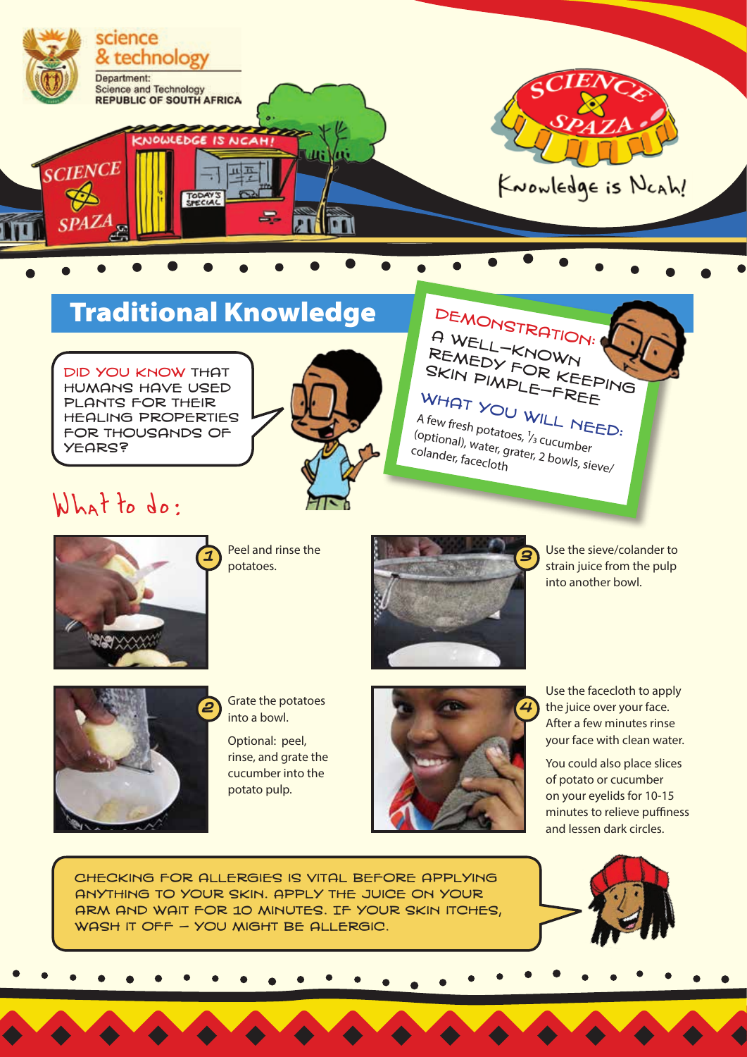

## **Traditional Knowledge**

Did you know that humans have used plants for their healing properties for thousands of **YEARS?** 



### DEMONSTRATION: A Well-known REMEDY FOR KEEPING skin pimple-free WHAT YOU WILL NEED:<br>A few fresh potatoes  $V_{\text{L}}$  NEED:

A few fresh potatoes, <sup>1</sup>/<sub>3</sub> cucumber<br>(optional), water, grater, 2 bowls, si<sub>t</sub><br>colander. facecloth (optional), water, grater, 2 bowls, sieve<br>colander, facecloth<br>mater, facecloth

# What to do:



Peel and rinse the potatoes.



Use the sieve/colander to strain juice from the pulp into another bowl.



into a bowl.

Optional: peel, rinse, and grate the cucumber into the potato pulp.



Use the facecloth to apply the juice over your face. After a few minutes rinse your face with clean water.

You could also place slices of potato or cucumber on your eyelids for 10-15 minutes to relieve puffiness and lessen dark circles.

Checking for allergies is vital before applying anything to your skin. Apply the juice on your arm and wait for 10 minutes. If your skin itches, WASH IT OFF - YOU MIGHT BE ALLERGIC.